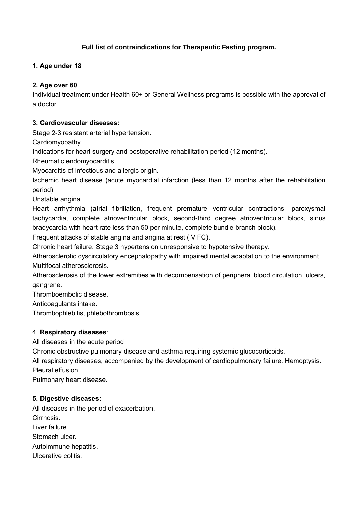## **Full list of contraindications for Therapeutic Fasting program.**

#### **1. Age under 18**

#### **2. Age over 60**

Individual treatment under Health 60+ or General Wellness programs is possible with the approval of a doctor.

#### **3. Cardiovascular diseases:**

Stage 2-3 resistant arterial hypertension.

Cardiomyopathy.

Indications for heart surgery and postoperative rehabilitation period (12 months).

Rheumatic endomyocarditis.

Myocarditis of infectious and allergic origin.

Ischemic heart disease (acute myocardial infarction (less than 12 months after the rehabilitation period).

Unstable angina.

Heart arrhythmia (atrial fibrillation, frequent premature ventricular contractions, paroxysmal tachycardia, complete atrioventricular block, second-third degree atrioventricular block, sinus bradycardia with heart rate less than 50 per minute, complete bundle branch block).

Frequent attacks of stable angina and angina at rest (IV FC).

Chronic heart failure. Stage 3 hypertension unresponsive to hypotensive therapy.

Atherosclerotic dyscirculatory encephalopathy with impaired mental adaptation to the environment. Multifocal atherosclerosis.

Atherosclerosis of the lower extremities with decompensation of peripheral blood circulation, ulcers, gangrene.

Thromboembolic disease.

Anticoagulants intake.

Thrombophlebitis, phlebothrombosis.

#### 4. **Respiratory diseases**:

All diseases in the acute period.

Chronic obstructive pulmonary disease and asthma requiring systemic glucocorticoids.

All respiratory diseases, accompanied by the development of cardiopulmonary failure. Hemoptysis. Pleural effusion.

Pulmonary heart disease.

#### **5. Digestive diseases:**

All diseases in the period of exacerbation. Cirrhosis. Liver failure. Stomach ulcer. Autoimmune hepatitis. Ulcerative colitis.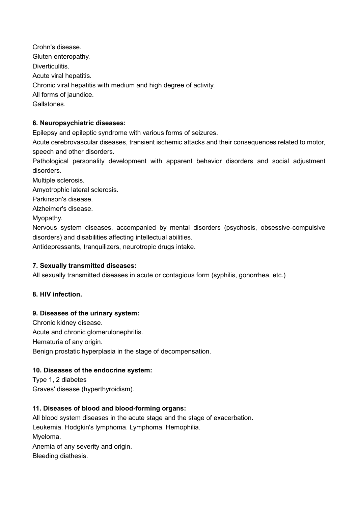Crohn's disease. Gluten enteropathy. Diverticulitis. Acute viral hepatitis. Chronic viral hepatitis with medium and high degree of activity. All forms of jaundice. Gallstones.

## **6. Neuropsychiatric diseases:**

Epilepsy and epileptic syndrome with various forms of seizures.

Acute cerebrovascular diseases, transient ischemic attacks and their consequences related to motor, speech and other disorders.

Pathological personality development with apparent behavior disorders and social adjustment disorders.

Multiple sclerosis.

Amyotrophic lateral sclerosis.

Parkinson's disease.

Alzheimer's disease.

Myopathy.

Nervous system diseases, accompanied by mental disorders (psychosis, obsessive-compulsive disorders) and disabilities affecting intellectual abilities.

Antidepressants, tranquilizers, neurotropic drugs intake.

## **7. Sexually transmitted diseases:**

All sexually transmitted diseases in acute or contagious form (syphilis, gonorrhea, etc.)

## **8. HIV infection.**

## **9. Diseases of the urinary system:**

Chronic kidney disease. Acute and chronic glomerulonephritis. Hematuria of any origin. Benign prostatic hyperplasia in the stage of decompensation.

## **10. Diseases of the endocrine system:**

Type 1, 2 diabetes Graves' disease (hyperthyroidism).

## **11. Diseases of blood and blood-forming organs:**

All blood system diseases in the acute stage and the stage of exacerbation. Leukemia. Hodgkin's lymphoma. Lymphoma. Hemophilia. Myeloma. Anemia of any severity and origin. Bleeding diathesis.